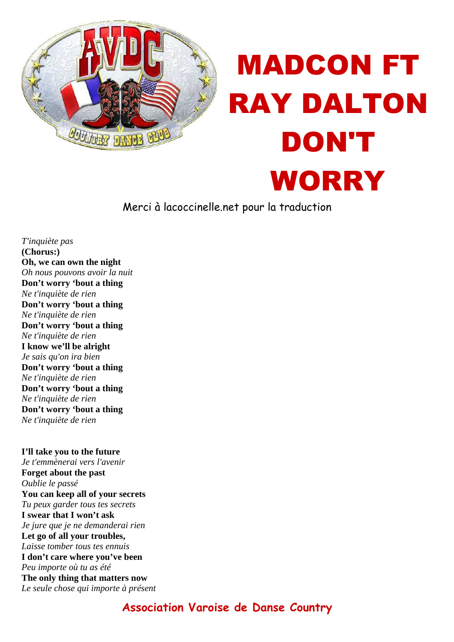

## MADCON FT RAY DALTON DON'T WORRY

Merci à lacoccinelle.net pour la traduction

*T'inquiète pas* **(Chorus:) Oh, we can own the night** *Oh nous pouvons avoir la nuit* **Don't worry 'bout a thing** *Ne t'inquiète de rien* **Don't worry 'bout a thing** *Ne t'inquiète de rien* **Don't worry 'bout a thing** *Ne t'inquiète de rien* **I know we'll be alright** *Je sais qu'on ira bien* **Don't worry 'bout a thing** *Ne t'inquiète de rien* **Don't worry 'bout a thing** *Ne t'inquiète de rien* **Don't worry 'bout a thing** *Ne t'inquiète de rien*

**I'll take you to the future** *Je t'emmènerai vers l'avenir* **Forget about the past** *Oublie le passé* **You can keep all of your secrets** *Tu peux garder tous tes secrets* **I swear that I won't ask** *Je jure que je ne demanderai rien* **Let go of all your troubles,** *Laisse tomber tous tes ennuis* **I don't care where you've been** *Peu importe où tu as été* **The only thing that matters now** *Le seule chose qui importe à présent*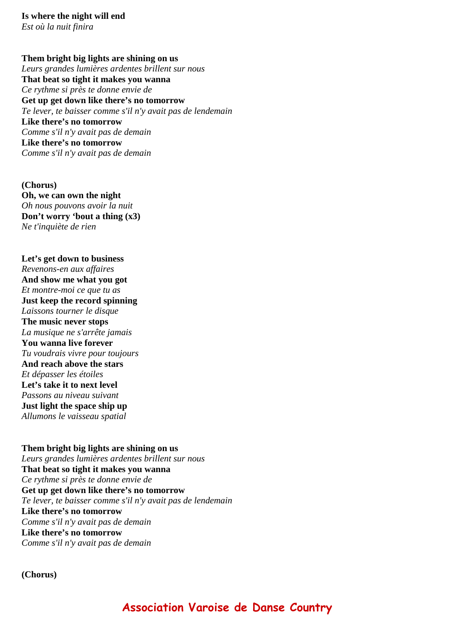## **Them bright big lights are shining on us**

*Leurs grandes lumières ardentes brillent sur nous* **That beat so tight it makes you wanna** *Ce rythme si près te donne envie de* **Get up get down like there's no tomorrow** *Te lever, te baisser comme s'il n'y avait pas de lendemain* **Like there's no tomorrow** *Comme s'il n'y avait pas de demain* **Like there's no tomorrow** *Comme s'il n'y avait pas de demain*

**(Chorus) Oh, we can own the night** *Oh nous pouvons avoir la nuit* **Don't worry 'bout a thing (x3)** *Ne t'inquiète de rien*

**Let's get down to business** *Revenons-en aux affaires* **And show me what you got** *Et montre-moi ce que tu as* **Just keep the record spinning** *Laissons tourner le disque* **The music never stops** *La musique ne s'arrête jamais* **You wanna live forever** *Tu voudrais vivre pour toujours* **And reach above the stars** *Et dépasser les étoiles* **Let's take it to next level** *Passons au niveau suivant* **Just light the space ship up** *Allumons le vaisseau spatial*

**Them bright big lights are shining on us** *Leurs grandes lumières ardentes brillent sur nous* **That beat so tight it makes you wanna** *Ce rythme si près te donne envie de* **Get up get down like there's no tomorrow** *Te lever, te baisser comme s'il n'y avait pas de lendemain* **Like there's no tomorrow** *Comme s'il n'y avait pas de demain* **Like there's no tomorrow** *Comme s'il n'y avait pas de demain*

**(Chorus)**